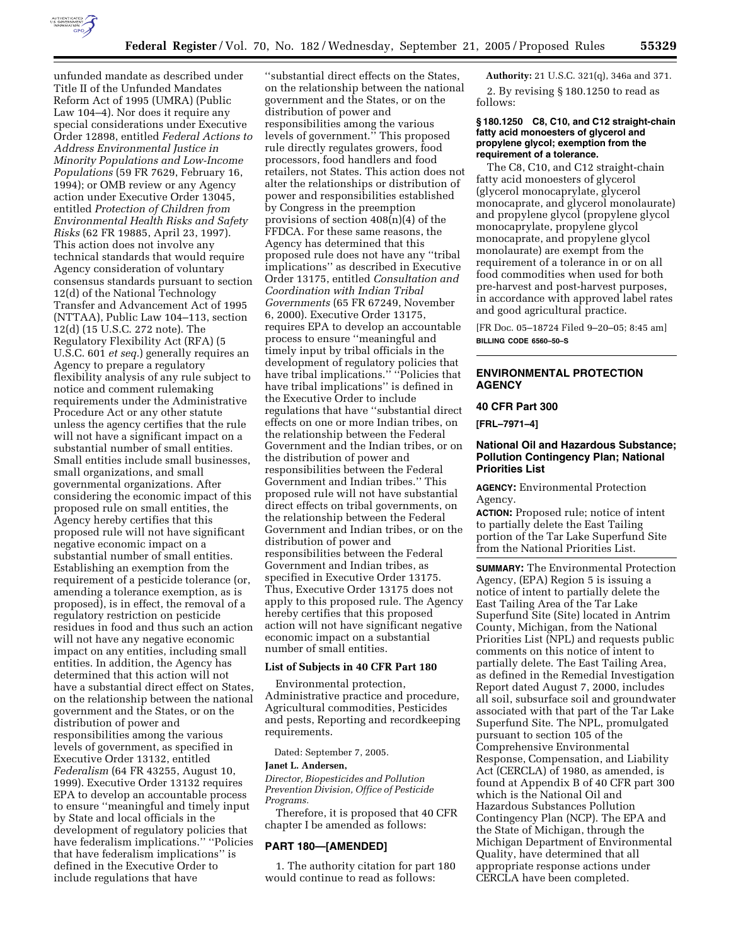

unfunded mandate as described under Title II of the Unfunded Mandates Reform Act of 1995 (UMRA) (Public Law 104–4). Nor does it require any special considerations under Executive Order 12898, entitled *Federal Actions to Address Environmental Justice in Minority Populations and Low-Income Populations* (59 FR 7629, February 16, 1994); or OMB review or any Agency action under Executive Order 13045, entitled *Protection of Children from Environmental Health Risks and Safety Risks* (62 FR 19885, April 23, 1997). This action does not involve any technical standards that would require Agency consideration of voluntary consensus standards pursuant to section 12(d) of the National Technology Transfer and Advancement Act of 1995 (NTTAA), Public Law 104–113, section 12(d) (15 U.S.C. 272 note). The Regulatory Flexibility Act (RFA) (5 U.S.C. 601 *et seq.*) generally requires an Agency to prepare a regulatory flexibility analysis of any rule subject to notice and comment rulemaking requirements under the Administrative Procedure Act or any other statute unless the agency certifies that the rule will not have a significant impact on a substantial number of small entities. Small entities include small businesses, small organizations, and small governmental organizations. After considering the economic impact of this proposed rule on small entities, the Agency hereby certifies that this proposed rule will not have significant negative economic impact on a substantial number of small entities. Establishing an exemption from the requirement of a pesticide tolerance (or, amending a tolerance exemption, as is proposed), is in effect, the removal of a regulatory restriction on pesticide residues in food and thus such an action will not have any negative economic impact on any entities, including small entities. In addition, the Agency has determined that this action will not have a substantial direct effect on States, on the relationship between the national government and the States, or on the distribution of power and responsibilities among the various levels of government, as specified in Executive Order 13132, entitled *Federalism* (64 FR 43255, August 10, 1999). Executive Order 13132 requires EPA to develop an accountable process to ensure ''meaningful and timely input by State and local officials in the development of regulatory policies that have federalism implications.'' ''Policies that have federalism implications'' is defined in the Executive Order to include regulations that have

''substantial direct effects on the States, on the relationship between the national government and the States, or on the distribution of power and responsibilities among the various levels of government.'' This proposed rule directly regulates growers, food processors, food handlers and food retailers, not States. This action does not alter the relationships or distribution of power and responsibilities established by Congress in the preemption provisions of section 408(n)(4) of the FFDCA. For these same reasons, the Agency has determined that this proposed rule does not have any ''tribal implications'' as described in Executive Order 13175, entitled *Consultation and Coordination with Indian Tribal Governments* (65 FR 67249, November 6, 2000). Executive Order 13175, requires EPA to develop an accountable process to ensure ''meaningful and timely input by tribal officials in the development of regulatory policies that have tribal implications." "Policies that have tribal implications'' is defined in the Executive Order to include regulations that have ''substantial direct effects on one or more Indian tribes, on the relationship between the Federal Government and the Indian tribes, or on the distribution of power and responsibilities between the Federal Government and Indian tribes.'' This proposed rule will not have substantial direct effects on tribal governments, on the relationship between the Federal Government and Indian tribes, or on the distribution of power and responsibilities between the Federal Government and Indian tribes, as specified in Executive Order 13175. Thus, Executive Order 13175 does not apply to this proposed rule. The Agency hereby certifies that this proposed action will not have significant negative economic impact on a substantial number of small entities.

# **List of Subjects in 40 CFR Part 180**

Environmental protection, Administrative practice and procedure, Agricultural commodities, Pesticides and pests, Reporting and recordkeeping requirements.

Dated: September 7, 2005.

## **Janet L. Andersen,**

*Director, Biopesticides and Pollution Prevention Division, Office of Pesticide Programs.* 

Therefore, it is proposed that 40 CFR chapter I be amended as follows:

### **PART 180—[AMENDED]**

1. The authority citation for part 180 would continue to read as follows:

**Authority:** 21 U.S.C. 321(q), 346a and 371.

2. By revising § 180.1250 to read as follows:

#### **§ 180.1250 C8, C10, and C12 straight-chain fatty acid monoesters of glycerol and propylene glycol; exemption from the requirement of a tolerance.**

The C8, C10, and C12 straight-chain fatty acid monoesters of glycerol (glycerol monocaprylate, glycerol monocaprate, and glycerol monolaurate) and propylene glycol (propylene glycol monocaprylate, propylene glycol monocaprate, and propylene glycol monolaurate) are exempt from the requirement of a tolerance in or on all food commodities when used for both pre-harvest and post-harvest purposes, in accordance with approved label rates and good agricultural practice.

[FR Doc. 05–18724 Filed 9–20–05; 8:45 am] **BILLING CODE 6560–50–S** 

# **ENVIRONMENTAL PROTECTION AGENCY**

# **40 CFR Part 300**

**[FRL–7971–4]** 

# **National Oil and Hazardous Substance; Pollution Contingency Plan; National Priorities List**

**AGENCY:** Environmental Protection Agency.

**ACTION:** Proposed rule; notice of intent to partially delete the East Tailing portion of the Tar Lake Superfund Site from the National Priorities List.

**SUMMARY:** The Environmental Protection Agency, (EPA) Region 5 is issuing a notice of intent to partially delete the East Tailing Area of the Tar Lake Superfund Site (Site) located in Antrim County, Michigan, from the National Priorities List (NPL) and requests public comments on this notice of intent to partially delete. The East Tailing Area, as defined in the Remedial Investigation Report dated August 7, 2000, includes all soil, subsurface soil and groundwater associated with that part of the Tar Lake Superfund Site. The NPL, promulgated pursuant to section 105 of the Comprehensive Environmental Response, Compensation, and Liability Act (CERCLA) of 1980, as amended, is found at Appendix B of 40 CFR part 300 which is the National Oil and Hazardous Substances Pollution Contingency Plan (NCP). The EPA and the State of Michigan, through the Michigan Department of Environmental Quality, have determined that all appropriate response actions under CERCLA have been completed.